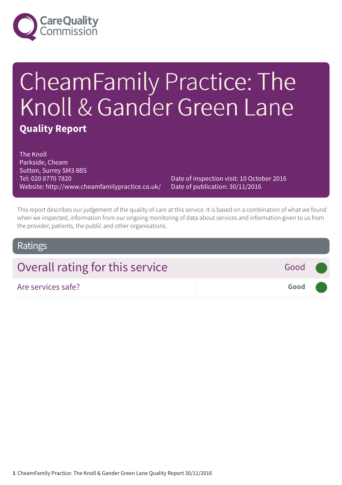

# CheamFamily Practice: The Knoll & Gander Green Lane **Quality Report**

The Knoll Parkside, Cheam Sutton, Surrey SM3 8BS Tel: 020 8770 7820 Website: http://www.cheamfamilypractice.co.uk/

Date of inspection visit: 10 October 2016 Date of publication: 30/11/2016

This report describes our judgement of the quality of care at this service. It is based on a combination of what we found when we inspected, information from our ongoing monitoring of data about services and information given to us from the provider, patients, the public and other organisations.

## Ratings

| Overall rating for this service<br>Good (                                      |  |
|--------------------------------------------------------------------------------|--|
| Good <b>Contract Contract Contract Contract Contract</b><br>Are services safe? |  |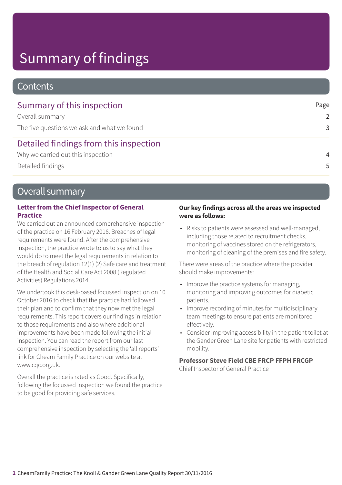# Summary of findings

## **Contents**

| Summary of this inspection                  | Page           |
|---------------------------------------------|----------------|
| Overall summary                             | $\mathcal{P}$  |
| The five questions we ask and what we found | 3              |
| Detailed findings from this inspection      |                |
| Why we carried out this inspection          | $\overline{4}$ |
| Detailed findings                           | 5              |

## Overall summary

### **Letter from the Chief Inspector of General Practice**

We carried out an announced comprehensive inspection of the practice on 16 February 2016. Breaches of legal requirements were found. After the comprehensive inspection, the practice wrote to us to say what they would do to meet the legal requirements in relation to the breach of regulation 12(1) (2) Safe care and treatment of the Health and Social Care Act 2008 (Regulated Activities) Regulations 2014.

We undertook this desk-based focussed inspection on 10 October 2016 to check that the practice had followed their plan and to confirm that they now met the legal requirements. This report covers our findings in relation to those requirements and also where additional improvements have been made following the initial inspection. You can read the report from our last comprehensive inspection by selecting the 'all reports' link for Cheam Family Practice on our website at www.cqc.org.uk.

Overall the practice is rated as Good. Specifically, following the focussed inspection we found the practice to be good for providing safe services.

#### **Our key findings across all the areas we inspected were as follows:**

• Risks to patients were assessed and well-managed, including those related to recruitment checks, monitoring of vaccines stored on the refrigerators, monitoring of cleaning of the premises and fire safety.

There were areas of the practice where the provider should make improvements:

- Improve the practice systems for managing, monitoring and improving outcomes for diabetic patients.
- Improve recording of minutes for multidisciplinary team meetings to ensure patients are monitored effectively.
- Consider improving accessibility in the patient toilet at the Gander Green Lane site for patients with restricted mobility.

## **Professor Steve Field CBE FRCP FFPH FRCGP**

Chief Inspector of General Practice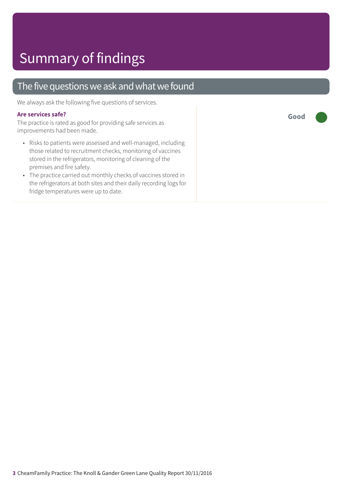## The five questions we ask and what we found

We always ask the following five questions of services.

#### **Are services safe?**

The practice is rated as good for providing safe services as improvements had been made.

- Risks to patients were assessed and well-managed, including those related to recruitment checks, monitoring of vaccines stored in the refrigerators, monitoring of cleaning of the premises and fire safety.
- The practice carried out monthly checks of vaccines stored in the refrigerators at both sites and their daily recording logs for fridge temperatures were up to date.

**Good –––**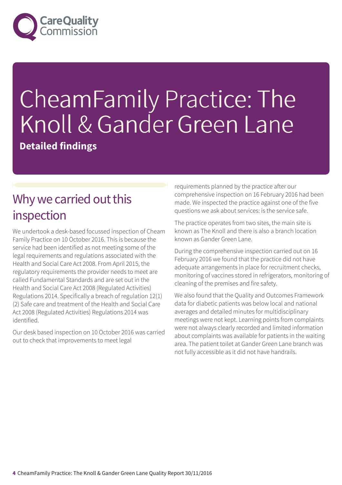

# CheamFamily Practice: The Knoll & Gander Green Lane

**Detailed findings**

# Why we carried out this inspection

We undertook a desk-based focussed inspection of Cheam Family Practice on 10 October 2016. This is because the service had been identified as not meeting some of the legal requirements and regulations associated with the Health and Social Care Act 2008. From April 2015, the regulatory requirements the provider needs to meet are called Fundamental Standards and are set out in the Health and Social Care Act 2008 (Regulated Activities) Regulations 2014. Specifically a breach of regulation 12(1) (2) Safe care and treatment of the Health and Social Care Act 2008 (Regulated Activities) Regulations 2014 was identified.

Our desk based inspection on 10 October 2016 was carried out to check that improvements to meet legal

requirements planned by the practice after our comprehensive inspection on 16 February 2016 had been made. We inspected the practice against one of the five questions we ask about services: is the service safe.

The practice operates from two sites, the main site is known as The Knoll and there is also a branch location known as Gander Green Lane.

During the comprehensive inspection carried out on 16 February 2016 we found that the practice did not have adequate arrangements in place for recruitment checks, monitoring of vaccines stored in refrigerators, monitoring of cleaning of the premises and fire safety.

We also found that the Quality and Outcomes Framework data for diabetic patients was below local and national averages and detailed minutes for multidisciplinary meetings were not kept. Learning points from complaints were not always clearly recorded and limited information about complaints was available for patients in the waiting area. The patient toilet at Gander Green Lane branch was not fully accessible as it did not have handrails.